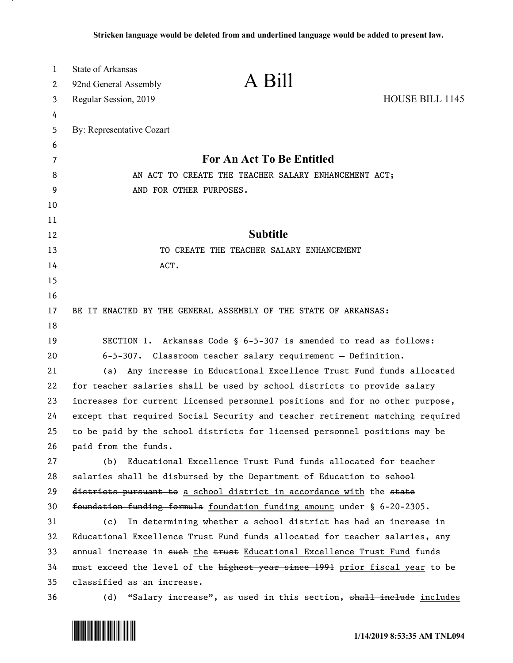| 1  | <b>State of Arkansas</b>                                                      |  |
|----|-------------------------------------------------------------------------------|--|
| 2  | A Bill<br>92nd General Assembly                                               |  |
| 3  | HOUSE BILL 1145<br>Regular Session, 2019                                      |  |
| 4  |                                                                               |  |
| 5  | By: Representative Cozart                                                     |  |
| 6  |                                                                               |  |
| 7  | For An Act To Be Entitled                                                     |  |
| 8  | AN ACT TO CREATE THE TEACHER SALARY ENHANCEMENT ACT;                          |  |
| 9  | AND FOR OTHER PURPOSES.                                                       |  |
| 10 |                                                                               |  |
| 11 |                                                                               |  |
| 12 | <b>Subtitle</b>                                                               |  |
| 13 | TO CREATE THE TEACHER SALARY ENHANCEMENT                                      |  |
| 14 | ACT.                                                                          |  |
| 15 |                                                                               |  |
| 16 |                                                                               |  |
| 17 | BE IT ENACTED BY THE GENERAL ASSEMBLY OF THE STATE OF ARKANSAS:               |  |
| 18 |                                                                               |  |
| 19 | SECTION 1. Arkansas Code § 6-5-307 is amended to read as follows:             |  |
| 20 | $6-5-307$ . Classroom teacher salary requirement - Definition.                |  |
| 21 | Any increase in Educational Excellence Trust Fund funds allocated<br>(a)      |  |
| 22 | for teacher salaries shall be used by school districts to provide salary      |  |
| 23 | increases for current licensed personnel positions and for no other purpose,  |  |
| 24 | except that required Social Security and teacher retirement matching required |  |
| 25 | to be paid by the school districts for licensed personnel positions may be    |  |
| 26 | paid from the funds.                                                          |  |
| 27 | Educational Excellence Trust Fund funds allocated for teacher<br>(b)          |  |
| 28 | salaries shall be disbursed by the Department of Education to school          |  |
| 29 | districts pursuant to a school district in accordance with the state          |  |
| 30 | foundation funding formula foundation funding amount under § 6-20-2305.       |  |
| 31 | In determining whether a school district has had an increase in<br>(c)        |  |
| 32 | Educational Excellence Trust Fund funds allocated for teacher salaries, any   |  |
| 33 | annual increase in such the trust Educational Excellence Trust Fund funds     |  |
| 34 | must exceed the level of the highest year since 1991 prior fiscal year to be  |  |
| 35 | classified as an increase.                                                    |  |
| 36 | "Salary increase", as used in this section, shall include includes<br>(d)     |  |

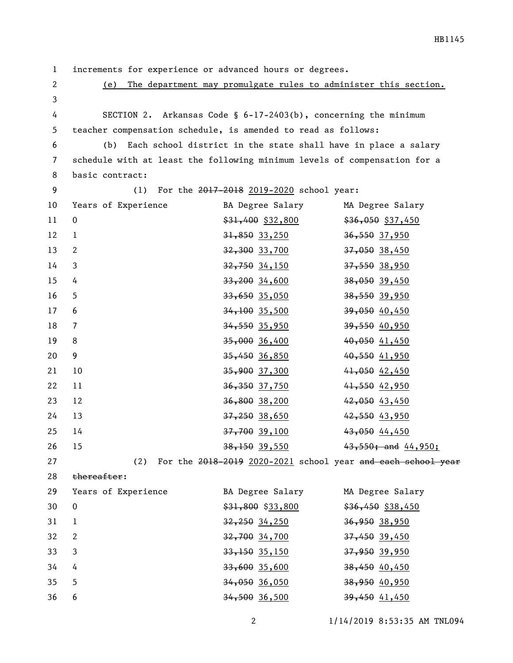1 increments for experience or advanced hours or degrees.

2 (e) The department may promulgate rules to administer this section. 3

4 SECTION 2. Arkansas Code § 6-17-2403(b), concerning the minimum 5 teacher compensation schedule, is amended to read as follows:

6 (b) Each school district in the state shall have in place a salary 7 schedule with at least the following minimum levels of compensation for a 8 basic contract:

9 (1) For the 2017-2018 2019-2020 school year: 10 Years of Experience BA Degree Salary MA Degree Salary 11 0  $\frac{$31,400}{$31,400}{$32,800}$   $\frac{$36,050}{$37,450}$ 12 1 31,850 33,250 36,550 37,950 13 2 32,300 33,700 37,050 38,450 14 3 3 32,750 34,150 37,550 38,950 15 4 33,200 34,600 38,050 39,450  $\frac{33}{16}$  5 35,050 38,550 39,950 17 6 34,100 35,500 39,050 40,450 18 7 34,550 35,950 39,550 40,950 19 8 35,000 36,400 40,050 41,450 20 9 35,450 36,850 40,550 41,950 21 10 35,900 37,300 41,050 42,450 22 11 36,350 37,750 41,550 42,950 23 12 36,800 38,200 42,050 43,450 24 13 37,250 38,650 42,550 43,950 25 14 37,700 39,100 43,050 44,450 26 15 38,150 39,550 43,550; and 44,950;

27 (2) For the 2018-2019 2020-2021 school year and each school year

28 thereafter:

| 29           | Years of Experience      | BA Degree Salary   | MA Degree Salary    |
|--------------|--------------------------|--------------------|---------------------|
| 30           | $\overline{\phantom{0}}$ | $$31,800$ \$33,800 | $$36,450$ $$38,450$ |
| 31           |                          | 32,250 34,250      | 36,950 38,950       |
| 32           | $\overline{2}$           | $32,700$ 34,700    | 37,450 39,450       |
| $33 \quad 3$ |                          | 33, 150 35, 150    | 37,950 39,950       |
| 34           | 4                        | $33,600$ 35,600    | 38,450 40,450       |
| 35           | 5                        | $34,050$ 36,050    | 38,950 40,950       |
| 36           | 6                        | $34,500$ 36,500    | 39,450 41,450       |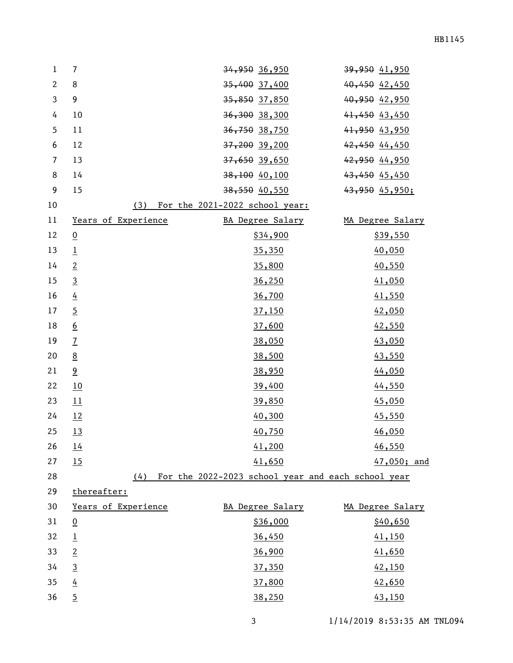| $\mathbf{1}$   | $\overline{7}$      | 34,950 36,950                                      | 39,950 41,950    |
|----------------|---------------------|----------------------------------------------------|------------------|
| $\mathbf{2}$   | 8                   | 35,400 37,400                                      | 40,450 42,450    |
| $\mathbf{3}$   | 9                   | <del>35,850</del> 37,850                           | 40,950 42,950    |
| 4              | 10                  | 36,300 38,300                                      | 41,450 43,450    |
| 5              | 11                  | 36,750 38,750                                      | 41,950 43,950    |
| 6              | 12                  | 37,200 39,200                                      | 42,450 44,450    |
| $\overline{7}$ | 13                  | 37,650 39,650                                      | 42,950 44,950    |
| 8              | 14                  | $38,100$ 40, 100                                   | 43,450 45,450    |
| 9              | 15                  | $38,550$ 40,550                                    | 43,950 45,950;   |
| 10             | (3)                 | For the 2021-2022 school year:                     |                  |
| 11             | Years of Experience | BA Degree Salary                                   | MA Degree Salary |
| 12             | $\overline{0}$      | \$34,900                                           | \$39,550         |
| 13             | $\overline{1}$      | 35,350                                             | 40,050           |
| 14             | $\overline{2}$      | 35,800                                             | 40,550           |
| 15             | $\overline{3}$      | 36,250                                             | 41,050           |
| 16             | $\frac{4}{1}$       | 36,700                                             | 41,550           |
| 17             | $\overline{2}$      | 37,150                                             | 42,050           |
| 18             | $\underline{6}$     | 37,600                                             | 42,550           |
| 19             | $\overline{1}$      | 38,050                                             | 43,050           |
| 20             | $\underline{8}$     | 38,500                                             | 43,550           |
| 21             | 9                   | 38,950                                             | 44,050           |
| 22             | 10                  | 39,400                                             | 44,550           |
| 23             | 11                  | 39,850                                             | 45,050           |
| 24             | 12                  | 40,300                                             | 45,550           |
| 25             | 13                  | 40,750                                             | 46,050           |
| 26             | 14                  | 41,200                                             | 46,550           |
| 27             | 15                  | 41,650                                             | 47,050; and      |
| 28             | (4)                 | For the 2022-2023 school year and each school year |                  |
| 29             | thereafter:         |                                                    |                  |
| 30             | Years of Experience | BA Degree Salary                                   | MA Degree Salary |
| 31             | $\overline{0}$      | \$36,000                                           | \$40,650         |
| 32             | $\overline{1}$      | 36,450                                             | 41,150           |
| 33             | $\overline{2}$      | 36,900                                             | 41,650           |
| 34             | $\overline{3}$      | 37,350                                             | 42,150           |
| 35             | $\frac{4}{1}$       | 37,800                                             | 42,650           |
| 36             | $\overline{5}$      | 38,250                                             | 43,150           |